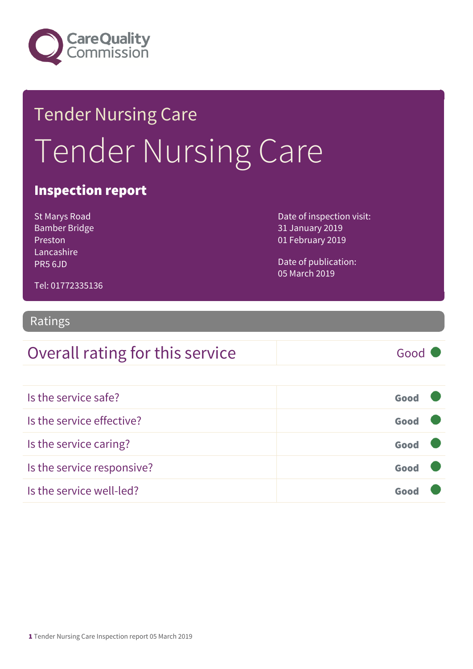

# Tender Nursing Care Tender Nursing Care

#### Inspection report

St Marys Road Bamber Bridge Preston Lancashire PR5 6JD

Date of inspection visit: 31 January 2019 01 February 2019

Date of publication: 05 March 2019

Tel: 01772335136

#### Ratings

## Overall rating for this service Good

| Is the service safe?       | Good |  |
|----------------------------|------|--|
| Is the service effective?  | Good |  |
| Is the service caring?     | Good |  |
| Is the service responsive? | Good |  |
| Is the service well-led?   |      |  |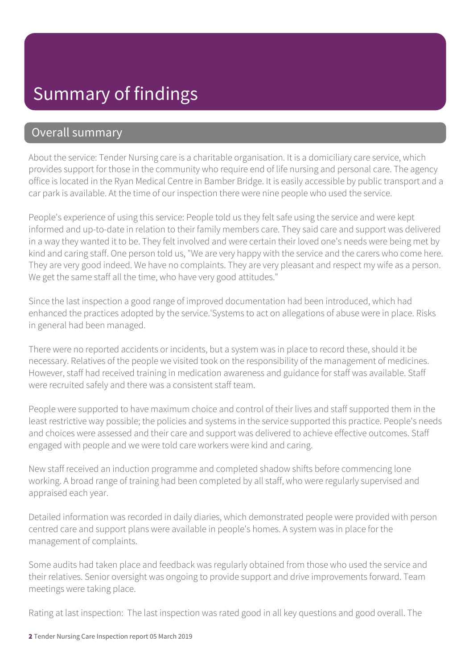#### Summary of findings

#### Overall summary

About the service: Tender Nursing care is a charitable organisation. It is a domiciliary care service, which provides support for those in the community who require end of life nursing and personal care. The agency office is located in the Ryan Medical Centre in Bamber Bridge. It is easily accessible by public transport and a car park is available. At the time of our inspection there were nine people who used the service.

People's experience of using this service: People told us they felt safe using the service and were kept informed and up-to-date in relation to their family members care. They said care and support was delivered in a way they wanted it to be. They felt involved and were certain their loved one's needs were being met by kind and caring staff. One person told us, "We are very happy with the service and the carers who come here. They are very good indeed. We have no complaints. They are very pleasant and respect my wife as a person. We get the same staff all the time, who have very good attitudes."

Since the last inspection a good range of improved documentation had been introduced, which had enhanced the practices adopted by the service.'Systems to act on allegations of abuse were in place. Risks in general had been managed.

There were no reported accidents or incidents, but a system was in place to record these, should it be necessary. Relatives of the people we visited took on the responsibility of the management of medicines. However, staff had received training in medication awareness and guidance for staff was available. Staff were recruited safely and there was a consistent staff team.

People were supported to have maximum choice and control of their lives and staff supported them in the least restrictive way possible; the policies and systems in the service supported this practice. People's needs and choices were assessed and their care and support was delivered to achieve effective outcomes. Staff engaged with people and we were told care workers were kind and caring.

New staff received an induction programme and completed shadow shifts before commencing lone working. A broad range of training had been completed by all staff, who were regularly supervised and appraised each year.

Detailed information was recorded in daily diaries, which demonstrated people were provided with person centred care and support plans were available in people's homes. A system was in place for the management of complaints.

Some audits had taken place and feedback was regularly obtained from those who used the service and their relatives. Senior oversight was ongoing to provide support and drive improvements forward. Team meetings were taking place.

Rating at last inspection: The last inspection was rated good in all key questions and good overall. The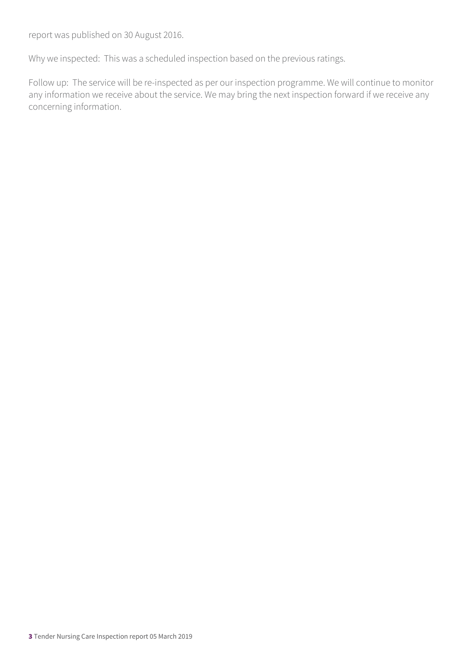report was published on 30 August 2016.

Why we inspected: This was a scheduled inspection based on the previous ratings.

Follow up: The service will be re-inspected as per our inspection programme. We will continue to monitor any information we receive about the service. We may bring the next inspection forward if we receive any concerning information.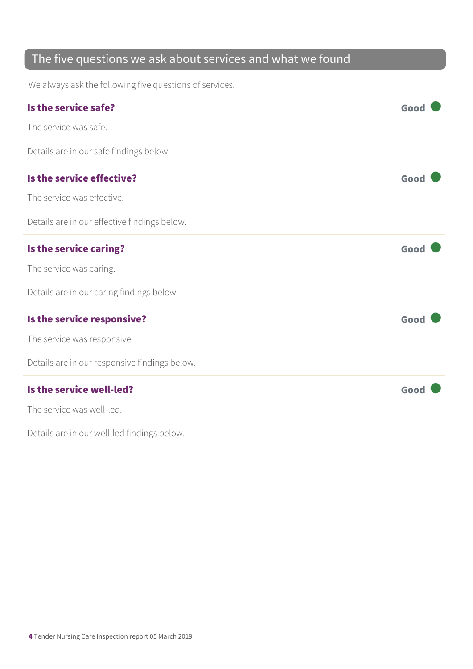#### The five questions we ask about services and what we found

We always ask the following five questions of services.

| Is the service safe?                          | Good |
|-----------------------------------------------|------|
| The service was safe.                         |      |
| Details are in our safe findings below.       |      |
| Is the service effective?                     | Good |
| The service was effective.                    |      |
| Details are in our effective findings below.  |      |
| Is the service caring?                        | Good |
| The service was caring.                       |      |
| Details are in our caring findings below.     |      |
| Is the service responsive?                    | Good |
| The service was responsive.                   |      |
| Details are in our responsive findings below. |      |
| Is the service well-led?                      | Good |
| The service was well-led.                     |      |
| Details are in our well-led findings below.   |      |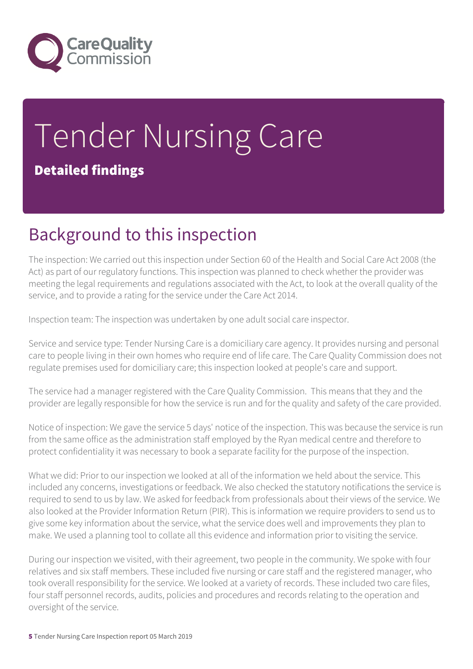

## Tender Nursing Care Detailed findings

#### Background to this inspection

The inspection: We carried out this inspection under Section 60 of the Health and Social Care Act 2008 (the Act) as part of our regulatory functions. This inspection was planned to check whether the provider was meeting the legal requirements and regulations associated with the Act, to look at the overall quality of the service, and to provide a rating for the service under the Care Act 2014.

Inspection team: The inspection was undertaken by one adult social care inspector.

Service and service type: Tender Nursing Care is a domiciliary care agency. It provides nursing and personal care to people living in their own homes who require end of life care. The Care Quality Commission does not regulate premises used for domiciliary care; this inspection looked at people's care and support.

The service had a manager registered with the Care Quality Commission. This means that they and the provider are legally responsible for how the service is run and for the quality and safety of the care provided.

Notice of inspection: We gave the service 5 days' notice of the inspection. This was because the service is run from the same office as the administration staff employed by the Ryan medical centre and therefore to protect confidentiality it was necessary to book a separate facility for the purpose of the inspection.

What we did: Prior to our inspection we looked at all of the information we held about the service. This included any concerns, investigations or feedback. We also checked the statutory notifications the service is required to send to us by law. We asked for feedback from professionals about their views of the service. We also looked at the Provider Information Return (PIR). This is information we require providers to send us to give some key information about the service, what the service does well and improvements they plan to make. We used a planning tool to collate all this evidence and information prior to visiting the service.

During our inspection we visited, with their agreement, two people in the community. We spoke with four relatives and six staff members. These included five nursing or care staff and the registered manager, who took overall responsibility for the service. We looked at a variety of records. These included two care files, four staff personnel records, audits, policies and procedures and records relating to the operation and oversight of the service.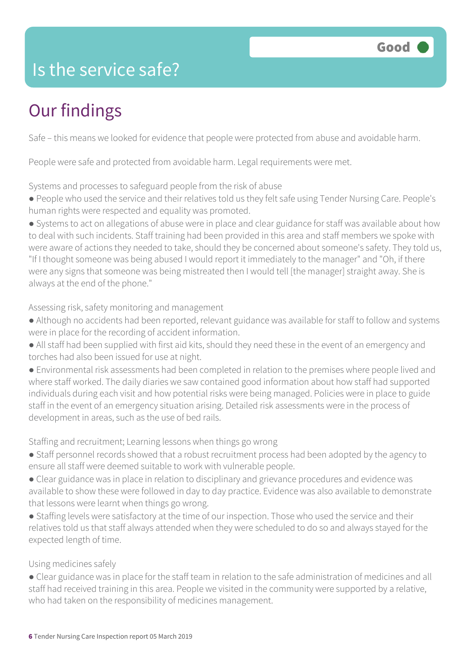#### Is the service safe?

### Our findings

Safe – this means we looked for evidence that people were protected from abuse and avoidable harm.

People were safe and protected from avoidable harm. Legal requirements were met.

Systems and processes to safeguard people from the risk of abuse

● People who used the service and their relatives told us they felt safe using Tender Nursing Care. People's human rights were respected and equality was promoted.

● Systems to act on allegations of abuse were in place and clear guidance for staff was available about how to deal with such incidents. Staff training had been provided in this area and staff members we spoke with were aware of actions they needed to take, should they be concerned about someone's safety. They told us, "If I thought someone was being abused I would report it immediately to the manager" and "Oh, if there were any signs that someone was being mistreated then I would tell [the manager] straight away. She is always at the end of the phone."

Assessing risk, safety monitoring and management

- Although no accidents had been reported, relevant guidance was available for staff to follow and systems were in place for the recording of accident information.
- All staff had been supplied with first aid kits, should they need these in the event of an emergency and torches had also been issued for use at night.
- Environmental risk assessments had been completed in relation to the premises where people lived and where staff worked. The daily diaries we saw contained good information about how staff had supported individuals during each visit and how potential risks were being managed. Policies were in place to guide staff in the event of an emergency situation arising. Detailed risk assessments were in the process of development in areas, such as the use of bed rails.

Staffing and recruitment; Learning lessons when things go wrong

- Staff personnel records showed that a robust recruitment process had been adopted by the agency to ensure all staff were deemed suitable to work with vulnerable people.
- Clear guidance was in place in relation to disciplinary and grievance procedures and evidence was available to show these were followed in day to day practice. Evidence was also available to demonstrate that lessons were learnt when things go wrong.
- Staffing levels were satisfactory at the time of our inspection. Those who used the service and their relatives told us that staff always attended when they were scheduled to do so and always stayed for the expected length of time.

Using medicines safely

● Clear guidance was in place for the staff team in relation to the safe administration of medicines and all staff had received training in this area. People we visited in the community were supported by a relative, who had taken on the responsibility of medicines management.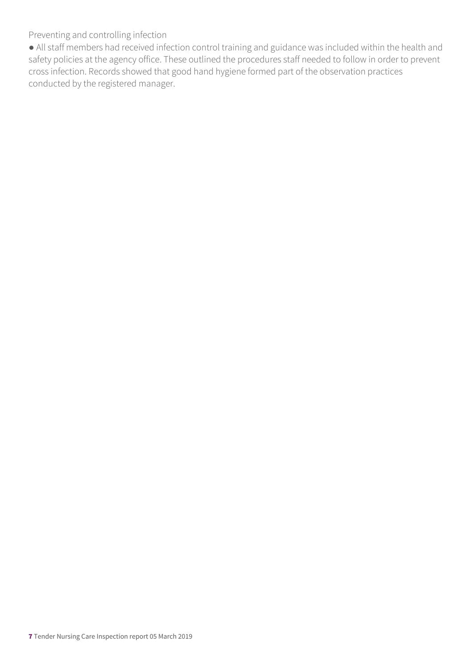Preventing and controlling infection

● All staff members had received infection control training and guidance was included within the health and safety policies at the agency office. These outlined the procedures staff needed to follow in order to prevent cross infection. Records showed that good hand hygiene formed part of the observation practices conducted by the registered manager.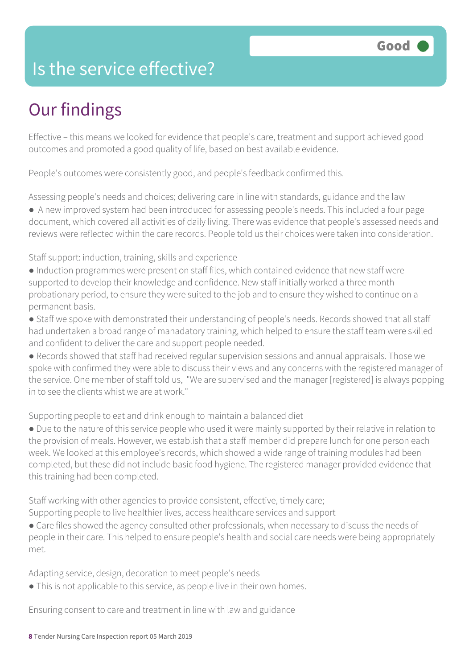#### Is the service effective?

### Our findings

Effective – this means we looked for evidence that people's care, treatment and support achieved good outcomes and promoted a good quality of life, based on best available evidence.

People's outcomes were consistently good, and people's feedback confirmed this.

Assessing people's needs and choices; delivering care in line with standards, guidance and the law

● A new improved system had been introduced for assessing people's needs. This included a four page document, which covered all activities of daily living. There was evidence that people's assessed needs and reviews were reflected within the care records. People told us their choices were taken into consideration.

Staff support: induction, training, skills and experience

- Induction programmes were present on staff files, which contained evidence that new staff were supported to develop their knowledge and confidence. New staff initially worked a three month probationary period, to ensure they were suited to the job and to ensure they wished to continue on a permanent basis.
- Staff we spoke with demonstrated their understanding of people's needs. Records showed that all staff had undertaken a broad range of manadatory training, which helped to ensure the staff team were skilled and confident to deliver the care and support people needed.
- Records showed that staff had received regular supervision sessions and annual appraisals. Those we spoke with confirmed they were able to discuss their views and any concerns with the registered manager of the service. One member of staff told us, "We are supervised and the manager [registered] is always popping in to see the clients whist we are at work."

Supporting people to eat and drink enough to maintain a balanced diet

● Due to the nature of this service people who used it were mainly supported by their relative in relation to the provision of meals. However, we establish that a staff member did prepare lunch for one person each week. We looked at this employee's records, which showed a wide range of training modules had been completed, but these did not include basic food hygiene. The registered manager provided evidence that this training had been completed.

Staff working with other agencies to provide consistent, effective, timely care;

Supporting people to live healthier lives, access healthcare services and support

• Care files showed the agency consulted other professionals, when necessary to discuss the needs of people in their care. This helped to ensure people's health and social care needs were being appropriately met.

Adapting service, design, decoration to meet people's needs

• This is not applicable to this service, as people live in their own homes.

Ensuring consent to care and treatment in line with law and guidance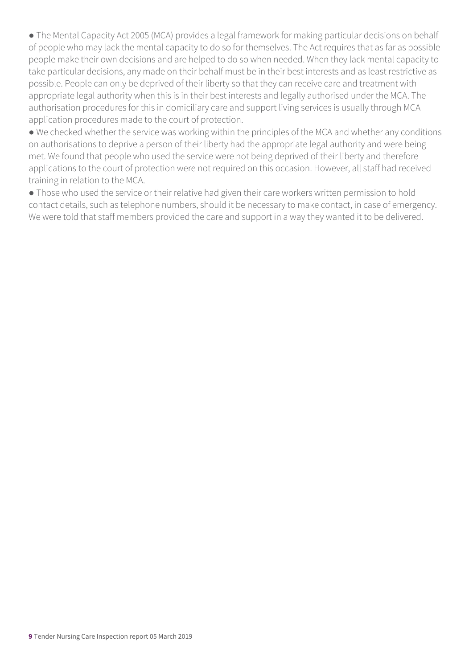• The Mental Capacity Act 2005 (MCA) provides a legal framework for making particular decisions on behalf of people who may lack the mental capacity to do so for themselves. The Act requires that as far as possible people make their own decisions and are helped to do so when needed. When they lack mental capacity to take particular decisions, any made on their behalf must be in their best interests and as least restrictive as possible. People can only be deprived of their liberty so that they can receive care and treatment with appropriate legal authority when this is in their best interests and legally authorised under the MCA. The authorisation procedures for this in domiciliary care and support living services is usually through MCA application procedures made to the court of protection.

● We checked whether the service was working within the principles of the MCA and whether any conditions on authorisations to deprive a person of their liberty had the appropriate legal authority and were being met. We found that people who used the service were not being deprived of their liberty and therefore applications to the court of protection were not required on this occasion. However, all staff had received training in relation to the MCA.

● Those who used the service or their relative had given their care workers written permission to hold contact details, such as telephone numbers, should it be necessary to make contact, in case of emergency. We were told that staff members provided the care and support in a way they wanted it to be delivered.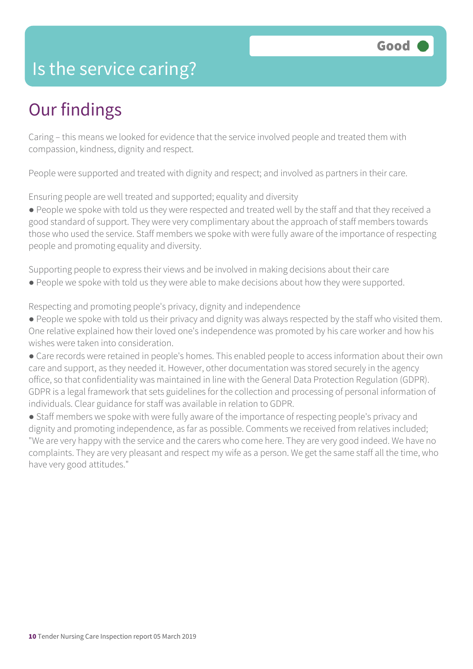#### Is the service caring?

#### Our findings

Caring – this means we looked for evidence that the service involved people and treated them with compassion, kindness, dignity and respect.

People were supported and treated with dignity and respect; and involved as partners in their care.

Ensuring people are well treated and supported; equality and diversity

● People we spoke with told us they were respected and treated well by the staff and that they received a good standard of support. They were very complimentary about the approach of staff members towards those who used the service. Staff members we spoke with were fully aware of the importance of respecting people and promoting equality and diversity.

Supporting people to express their views and be involved in making decisions about their care

● People we spoke with told us they were able to make decisions about how they were supported.

Respecting and promoting people's privacy, dignity and independence

- People we spoke with told us their privacy and dignity was always respected by the staff who visited them. One relative explained how their loved one's independence was promoted by his care worker and how his wishes were taken into consideration.
- Care records were retained in people's homes. This enabled people to access information about their own care and support, as they needed it. However, other documentation was stored securely in the agency office, so that confidentiality was maintained in line with the General Data Protection Regulation (GDPR). GDPR is a legal framework that sets guidelines for the collection and processing of personal information of individuals. Clear guidance for staff was available in relation to GDPR.
- Staff members we spoke with were fully aware of the importance of respecting people's privacy and dignity and promoting independence, as far as possible. Comments we received from relatives included; "We are very happy with the service and the carers who come here. They are very good indeed. We have no complaints. They are very pleasant and respect my wife as a person. We get the same staff all the time, who have very good attitudes."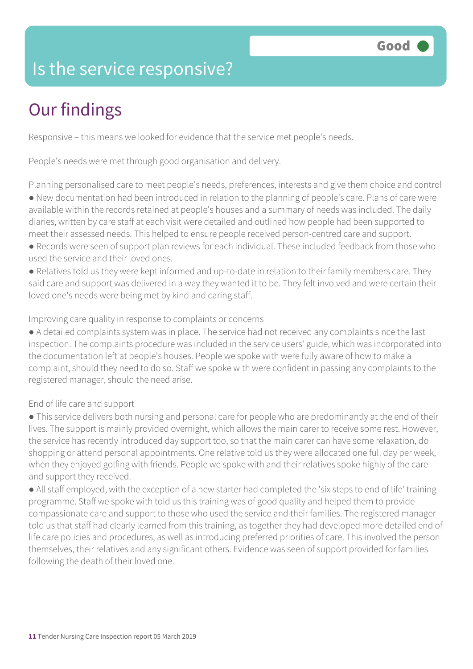#### Is the service responsive?

### Our findings

Responsive – this means we looked for evidence that the service met people's needs.

People's needs were met through good organisation and delivery.

Planning personalised care to meet people's needs, preferences, interests and give them choice and control ● New documentation had been introduced in relation to the planning of people's care. Plans of care were available within the records retained at people's houses and a summary of needs was included. The daily diaries, written by care staff at each visit were detailed and outlined how people had been supported to meet their assessed needs. This helped to ensure people received person-centred care and support.

- Records were seen of support plan reviews for each individual. These included feedback from those who used the service and their loved ones.
- Relatives told us they were kept informed and up-to-date in relation to their family members care. They said care and support was delivered in a way they wanted it to be. They felt involved and were certain their loved one's needs were being met by kind and caring staff.

Improving care quality in response to complaints or concerns

● A detailed complaints system was in place. The service had not received any complaints since the last inspection. The complaints procedure was included in the service users' guide, which was incorporated into the documentation left at people's houses. People we spoke with were fully aware of how to make a complaint, should they need to do so. Staff we spoke with were confident in passing any complaints to the registered manager, should the need arise.

End of life care and support

● This service delivers both nursing and personal care for people who are predominantly at the end of their lives. The support is mainly provided overnight, which allows the main carer to receive some rest. However, the service has recently introduced day support too, so that the main carer can have some relaxation, do shopping or attend personal appointments. One relative told us they were allocated one full day per week, when they enjoyed golfing with friends. People we spoke with and their relatives spoke highly of the care and support they received.

● All staff employed, with the exception of a new starter had completed the 'six steps to end of life' training programme. Staff we spoke with told us this training was of good quality and helped them to provide compassionate care and support to those who used the service and their families. The registered manager told us that staff had clearly learned from this training, as together they had developed more detailed end of life care policies and procedures, as well as introducing preferred priorities of care. This involved the person themselves, their relatives and any significant others. Evidence was seen of support provided for families following the death of their loved one.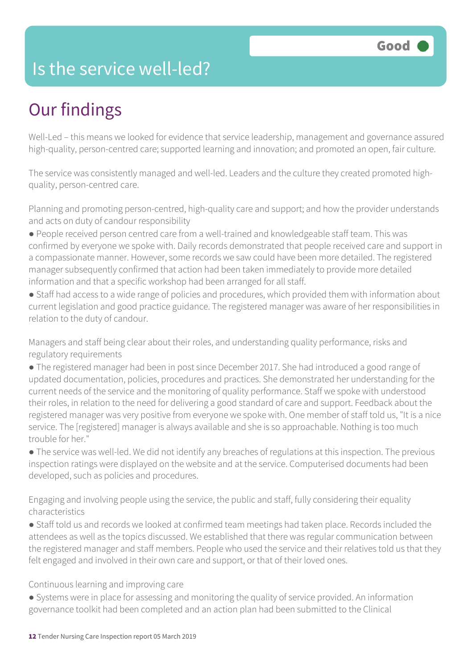#### Is the service well-led?

### Our findings

Well-Led – this means we looked for evidence that service leadership, management and governance assured high-quality, person-centred care; supported learning and innovation; and promoted an open, fair culture.

The service was consistently managed and well-led. Leaders and the culture they created promoted highquality, person-centred care.

Planning and promoting person-centred, high-quality care and support; and how the provider understands and acts on duty of candour responsibility

- People received person centred care from a well-trained and knowledgeable staff team. This was confirmed by everyone we spoke with. Daily records demonstrated that people received care and support in a compassionate manner. However, some records we saw could have been more detailed. The registered manager subsequently confirmed that action had been taken immediately to provide more detailed information and that a specific workshop had been arranged for all staff.
- Staff had access to a wide range of policies and procedures, which provided them with information about current legislation and good practice guidance. The registered manager was aware of her responsibilities in relation to the duty of candour.

Managers and staff being clear about their roles, and understanding quality performance, risks and regulatory requirements

- The registered manager had been in post since December 2017. She had introduced a good range of updated documentation, policies, procedures and practices. She demonstrated her understanding for the current needs of the service and the monitoring of quality performance. Staff we spoke with understood their roles, in relation to the need for delivering a good standard of care and support. Feedback about the registered manager was very positive from everyone we spoke with. One member of staff told us, "It is a nice service. The [registered] manager is always available and she is so approachable. Nothing is too much trouble for her."
- The service was well-led. We did not identify any breaches of regulations at this inspection. The previous inspection ratings were displayed on the website and at the service. Computerised documents had been developed, such as policies and procedures.

Engaging and involving people using the service, the public and staff, fully considering their equality characteristics

● Staff told us and records we looked at confirmed team meetings had taken place. Records included the attendees as well as the topics discussed. We established that there was regular communication between the registered manager and staff members. People who used the service and their relatives told us that they felt engaged and involved in their own care and support, or that of their loved ones.

Continuous learning and improving care

● Systems were in place for assessing and monitoring the quality of service provided. An information governance toolkit had been completed and an action plan had been submitted to the Clinical